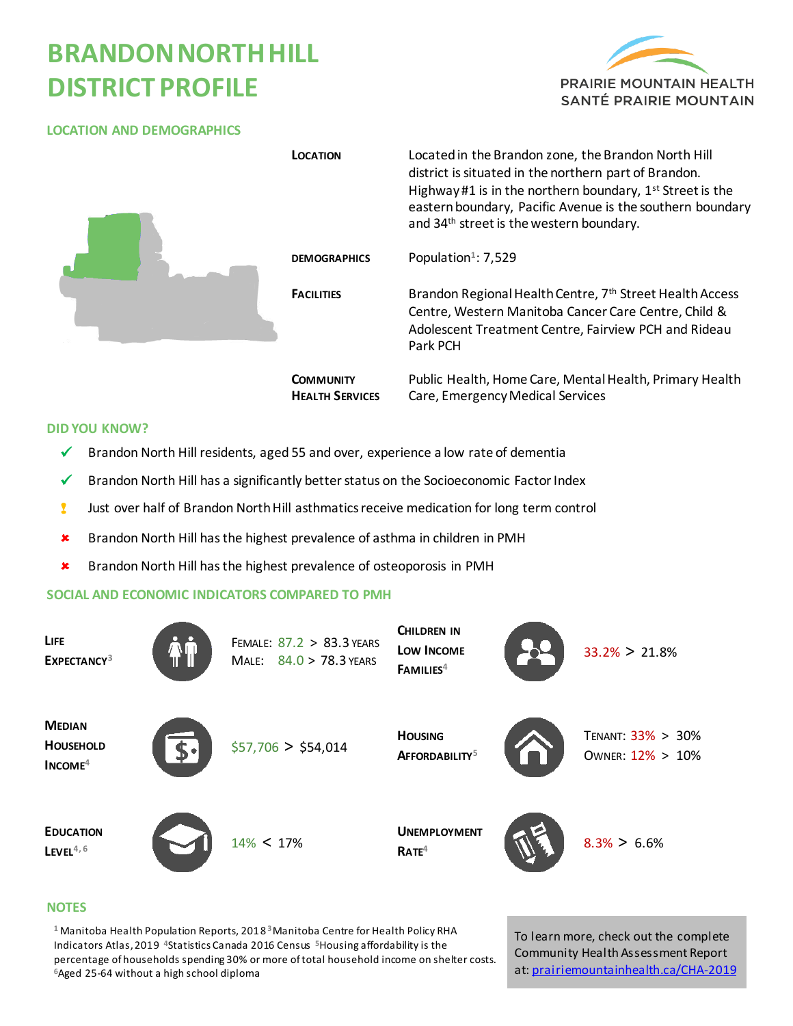# **BRANDONNORTHHILL DISTRICT PROFILE**



#### **LOCATION AND DEMOGRAPHICS**

|  | <b>LOCATION</b>                            | Located in the Brandon zone, the Brandon North Hill<br>district is situated in the northern part of Brandon.<br>Highway #1 is in the northern boundary, 1 <sup>st</sup> Street is the<br>eastern boundary, Pacific Avenue is the southern boundary<br>and 34 <sup>th</sup> street is the western boundary. |
|--|--------------------------------------------|------------------------------------------------------------------------------------------------------------------------------------------------------------------------------------------------------------------------------------------------------------------------------------------------------------|
|  | <b>DEMOGRAPHICS</b>                        | Population <sup>1</sup> : 7,529                                                                                                                                                                                                                                                                            |
|  | <b>FACILITIES</b>                          | Brandon Regional Health Centre, 7th Street Health Access<br>Centre, Western Manitoba Cancer Care Centre, Child &<br>Adolescent Treatment Centre, Fairview PCH and Rideau<br>Park PCH                                                                                                                       |
|  | <b>COMMUNITY</b><br><b>HEALTH SERVICES</b> | Public Health, Home Care, Mental Health, Primary Health<br>Care, Emergency Medical Services                                                                                                                                                                                                                |

#### **DID YOU KNOW?**

- $\checkmark$  Brandon North Hill residents, aged 55 and over, experience a low rate of dementia
- $\checkmark$  Brandon North Hill has a significantly better status on the Socioeconomic Factor Index
- ! Just over half of Brandon North Hill asthmatics receive medication for long term control
- **\*** Brandon North Hill has the highest prevalence of asthma in children in PMH
- **\*** Brandon North Hill has the highest prevalence of osteoporosis in PMH

### **SOCIAL AND ECONOMIC INDICATORS COMPARED TO PMH**

| <b>LIFE</b><br>EXPECTANCY <sup>3</sup>         | FEMALE: 87.2 > 83.3 YEARS<br>MALE: 84.0 > 78.3 YEARS | CHILDREN IN<br>LOW INCOME<br>FAMILIES <sup>4</sup> | $33.2\% > 21.8\%$                     |
|------------------------------------------------|------------------------------------------------------|----------------------------------------------------|---------------------------------------|
| <b>MEDIAN</b><br><b>HOUSEHOLD</b><br>$INCOME4$ | \$57,706 > \$54,014                                  | <b>HOUSING</b><br>AFFORDABILITY <sup>5</sup>       | TENANT: 33% > 30%<br>OWNER: 12% > 10% |
| <b>EDUCATION</b><br>$L$ EVEL <sup>4,6</sup>    | $14\% < 17\%$                                        | <b>UNEMPLOYMENT</b><br>RATE <sup>4</sup>           | $8.3\% > 6.6\%$                       |

#### **NOTES**

**<sup>1</sup>** Manitoba Health Population Reports, 2018 **<sup>3</sup>**Manitoba Centre for Health Policy RHA Indicators Atlas, 2019 **<sup>4</sup>**Statistics Canada 2016 Census **5**Housing affordability is the percentage of households spending 30% or more of total household income on shelter costs. **<sup>6</sup>**Aged 25-64 without a high school diploma

To learn more, check out the complete Community Health Assessment Report at[: prairiemountainhealth.ca/CHA-2019](https://prairiemountainhealth.ca/CHA-2019)